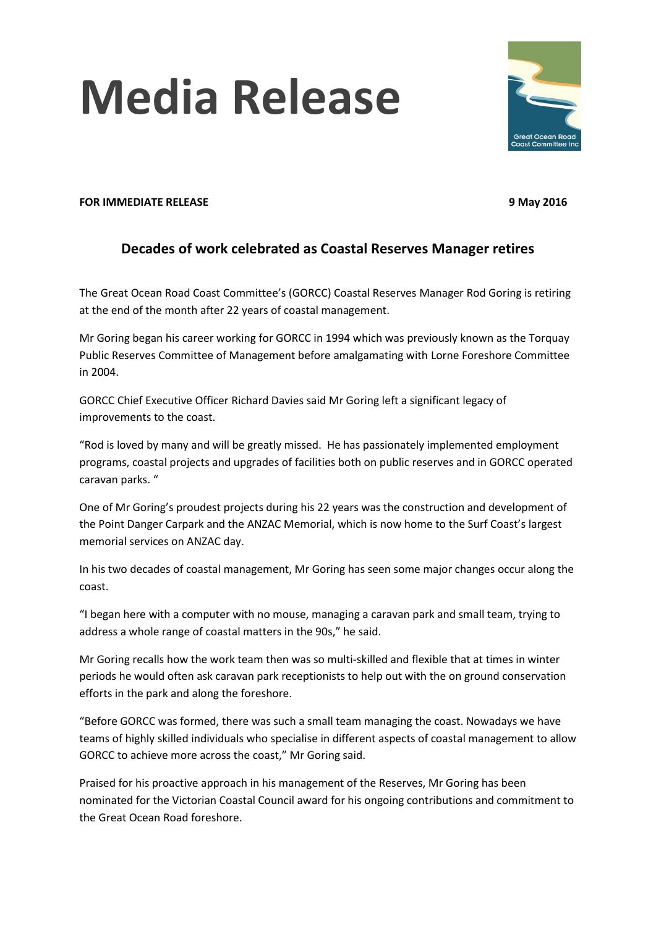## **Media Release**



## **FOR IMMEDIATE RELEASE 9 May 2016**

## **Decades of work celebrated as Coastal Reserves Manager retires**

The Great Ocean Road Coast Committee's (GORCC) Coastal Reserves Manager Rod Goring is retiring at the end of the month after 22 years of coastal management.

Mr Goring began his career working for GORCC in 1994 which was previously known as the Torquay Public Reserves Committee of Management before amalgamating with Lorne Foreshore Committee in 2004.

GORCC Chief Executive Officer Richard Davies said Mr Goring left a significant legacy of improvements to the coast.

"Rod is loved by many and will be greatly missed. He has passionately implemented employment programs, coastal projects and upgrades of facilities both on public reserves and in GORCC operated caravan parks. "

One of Mr Goring's proudest projects during his 22 years was the construction and development of the Point Danger Carpark and the ANZAC Memorial, which is now home to the Surf Coast's largest memorial services on ANZAC day.

In his two decades of coastal management, Mr Goring has seen some major changes occur along the coast.

"I began here with a computer with no mouse, managing a caravan park and small team, trying to address a whole range of coastal matters in the 90s," he said.

Mr Goring recalls how the work team then was so multi-skilled and flexible that at times in winter periods he would often ask caravan park receptionists to help out with the on ground conservation efforts in the park and along the foreshore.

"Before GORCC was formed, there was such a small team managing the coast. Nowadays we have teams of highly skilled individuals who specialise in different aspects of coastal management to allow GORCC to achieve more across the coast," Mr Goring said.

Praised for his proactive approach in his management of the Reserves, Mr Goring has been nominated for the Victorian Coastal Council award for his ongoing contributions and commitment to the Great Ocean Road foreshore.